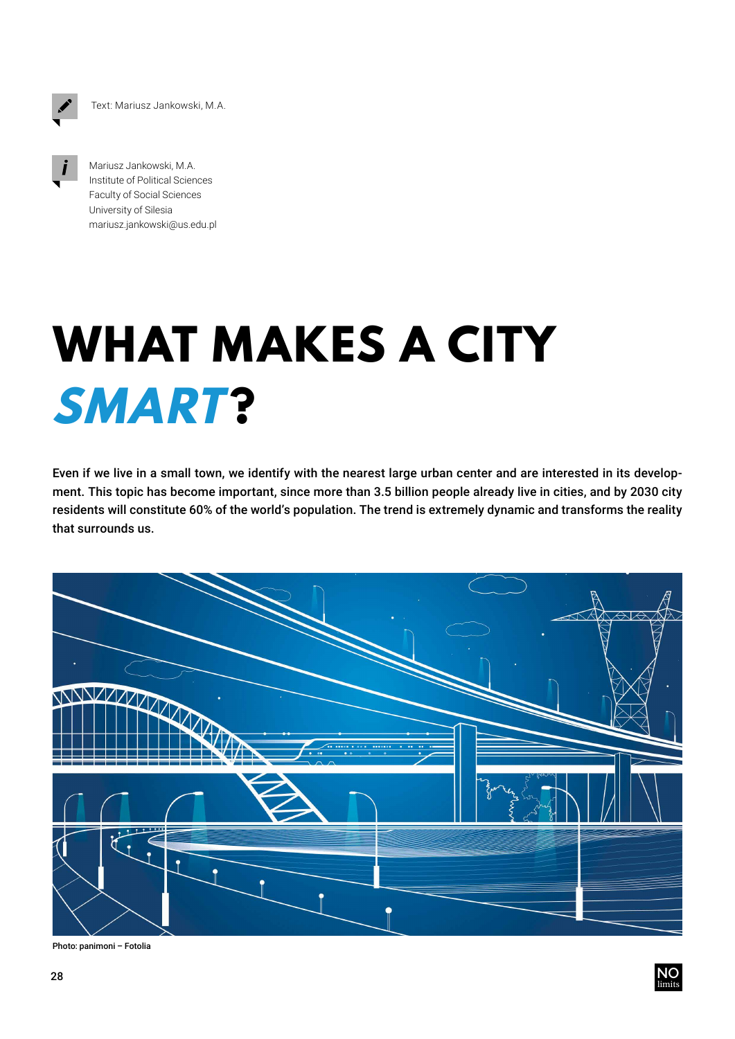Text: Mariusz Jankowski, M.A.



Mariusz Jankowski, M.A. Institute of Political Sciences Faculty of Social Sciences University of Silesia mariusz.jankowski@us.edu.pl

## **WHAT MAKES A CITY SMART ?**

Even if we live in a small town, we identify with the nearest large urban center and are interested in its development. This topic has become important, since more than 3.5 billion people already live in cities, and by 2030 city residents will constitute 60% of the world's population. The trend is extremely dynamic and transforms the reality that surrounds us.



Photo: panimoni – Fotolia